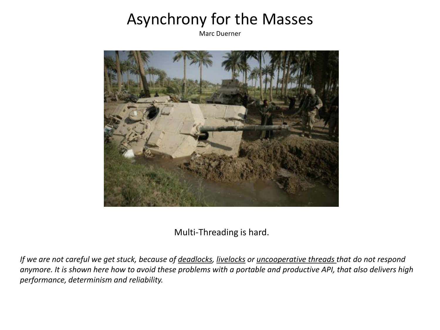## Asynchrony for the Masses

Marc Duerner



Multi-Threading is hard.

*If we are not careful we get stuck, because of deadlocks, livelocks or uncooperative threads that do not respond anymore. It is shown here how to avoid these problems with a portable and productive API, that also delivers high performance, determinism and reliability.*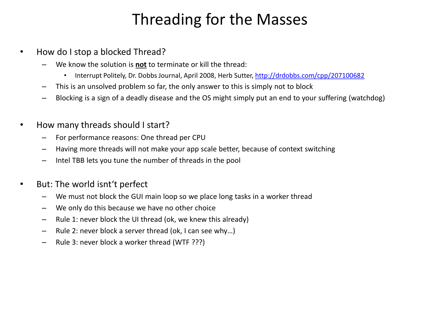## Threading for the Masses

- How do I stop a blocked Thread?
	- We know the solution is **not** to terminate or kill the thread:
		- Interrupt Politely, Dr. Dobbs Journal, April 2008, Herb Sutter, <http://drdobbs.com/cpp/207100682>
	- This is an unsolved problem so far, the only answer to this is simply not to block
	- Blocking is a sign of a deadly disease and the OS might simply put an end to your suffering (watchdog)
- How many threads should I start?
	- For performance reasons: One thread per CPU
	- Having more threads will not make your app scale better, because of context switching
	- Intel TBB lets you tune the number of threads in the pool
- But: The world isnt't perfect
	- We must not block the GUI main loop so we place long tasks in a worker thread
	- We only do this because we have no other choice
	- Rule 1: never block the UI thread (ok, we knew this already)
	- Rule 2: never block a server thread (ok, I can see why…)
	- Rule 3: never block a worker thread (WTF ???)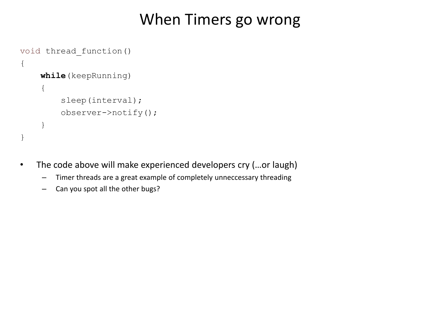#### When Timers go wrong

```
void thread_function()
{
     while(keepRunning)
     {
          sleep(interval);
          observer->notify();
     }
}
```
- The code above will make experienced developers cry (…or laugh)
	- Timer threads are a great example of completely unneccessary threading
	- Can you spot all the other bugs?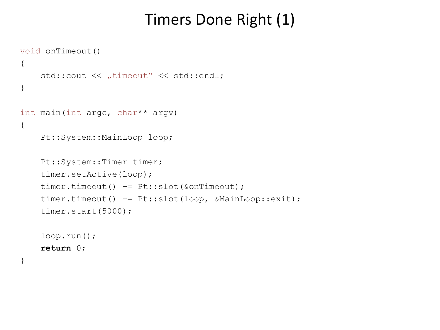## Timers Done Right (1)

```
void onTimeout()
{
    std:: cout << "timeout" << std:: endl;
}
int main(int argc, char** argv)
{
     Pt::System::MainLoop loop;
     Pt::System::Timer timer;
     timer.setActive(loop);
     timer.timeout() += Pt::slot(&onTimeout);
     timer.timeout() += Pt::slot(loop, &MainLoop::exit);
     timer.start(5000);
     loop.run();
     return 0;
```
}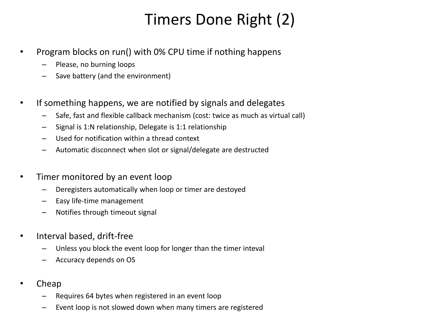# Timers Done Right (2)

- Program blocks on run() with 0% CPU time if nothing happens
	- Please, no burning loops
	- Save battery (and the environment)
- If something happens, we are notified by signals and delegates
	- Safe, fast and flexible callback mechanism (cost: twice as much as virtual call)
	- Signal is 1:N relationship, Delegate is 1:1 relationship
	- Used for notification within a thread context
	- Automatic disconnect when slot or signal/delegate are destructed
- Timer monitored by an event loop
	- Deregisters automatically when loop or timer are destoyed
	- Easy life-time management
	- Notifies through timeout signal
- Interval based, drift-free
	- Unless you block the event loop for longer than the timer inteval
	- Accuracy depends on OS
- Cheap
	- Requires 64 bytes when registered in an event loop
	- Event loop is not slowed down when many timers are registered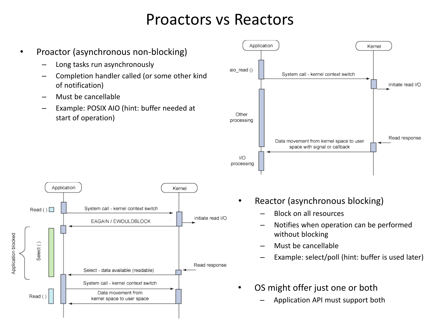#### Proactors vs Reactors

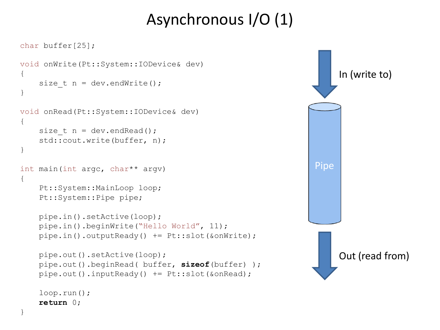# Asynchronous I/O (1)

```
char buffer[25];
void onWrite(Pt::System::IODevice& dev)
{
    size t n = dev.endWrite();
}
void onRead(Pt::System::IODevice& dev)
{
    size t n = dev.endRead();
     std::cout.write(buffer, n);
}
int main(int argc, char** argv)
{
     Pt::System::MainLoop loop;
     Pt::System::Pipe pipe;
     pipe.in().setActive(loop);
     pipe.in().beginWrite("Hello World", 11);
     pipe.in().outputReady() += Pt::slot(&onWrite);
     pipe.out().setActive(loop);
     pipe.out().beginRead( buffer, sizeof(buffer) ); 
     pipe.out().inputReady() += Pt::slot(&onRead);
     loop.run();
```
**return** 0;

}

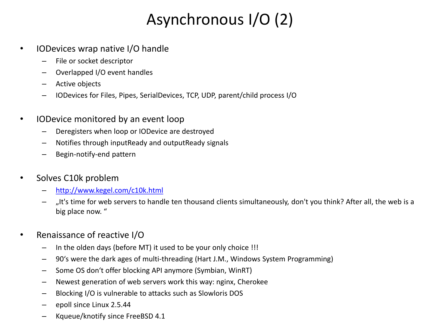# Asynchronous I/O (2)

- IODevices wrap native I/O handle
	- File or socket descriptor
	- Overlapped I/O event handles
	- Active objects
	- IODevices for Files, Pipes, SerialDevices, TCP, UDP, parent/child process I/O
- IODevice monitored by an event loop
	- Deregisters when loop or IODevice are destroyed
	- Notifies through inputReady and outputReady signals
	- Begin-notify-end pattern
- Solves C10k problem
	- <http://www.kegel.com/c10k.html>
	- "It's time for web servers to handle ten thousand clients simultaneously, don't you think? After all, the web is a big place now. "
- Renaissance of reactive I/O
	- In the olden days (before MT) it used to be your only choice !!!
	- 90's were the dark ages of multi-threading (Hart J.M., Windows System Programming)
	- Some OS don't offer blocking API anymore (Symbian, WinRT)
	- Newest generation of web servers work this way: nginx, Cherokee
	- Blocking I/O is vulnerable to attacks such as Slowloris DOS
	- epoll since Linux 2.5.44
	- Kqueue/knotify since FreeBSD 4.1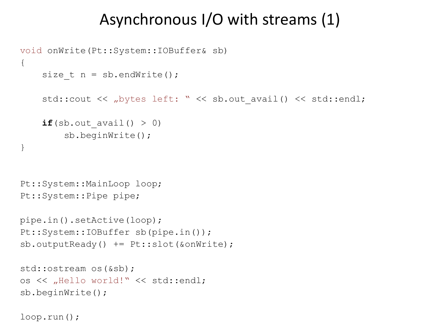#### Asynchronous I/O with streams (1)

```
void onWrite(Pt::System::IOBuffer& sb)
{
    size t n = sb.endWrite();
    std::cout << "bytes left: " << sb.out avail() << std::endl;
    if(sb.out avail() > 0)
         sb.beginWrite();
}
Pt::System::MainLoop loop;
Pt::System::Pipe pipe;
pipe.in().setActive(loop);
Pt::System::IOBuffer sb(pipe.in());
sb.outputReady() += Pt::slot(&onWrite);
std::ostream os(&sb);
os << "Hello world!" << std::endl;
sb.beginWrite();
```

```
loop.run();
```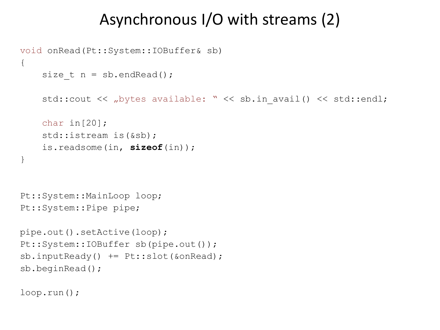## Asynchronous I/O with streams (2)

```
void onRead(Pt::System::IOBuffer& sb)
{
    size t n = sb.endRead();
    std::cout << "bytes available: " << sb.in avail() << std::endl;
     char in[20]; 
     std::istream is(&sb);
     is.readsome(in, sizeof(in));
}
Pt::System::MainLoop loop;
Pt::System::Pipe pipe;
pipe.out().setActive(loop);
Pt::System::IOBuffer sb(pipe.out());
sb.inputReady() += Pt::slot(&onRead);
sb.beginRead();
```
loop.run();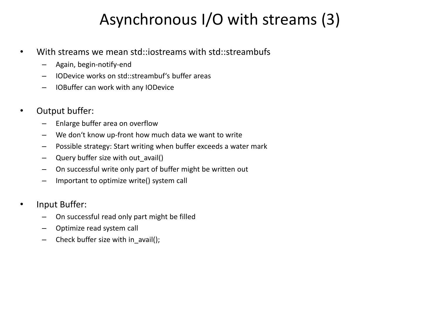# Asynchronous I/O with streams (3)

- With streams we mean std::iostreams with std::streambufs
	- Again, begin-notify-end
	- IODevice works on std::streambuf's buffer areas
	- IOBuffer can work with any IODevice
- Output buffer:
	- Enlarge buffer area on overflow
	- We don't know up-front how much data we want to write
	- Possible strategy: Start writing when buffer exceeds a water mark
	- Query buffer size with out\_avail()
	- On successful write only part of buffer might be written out
	- Important to optimize write() system call
- Input Buffer:
	- On successful read only part might be filled
	- Optimize read system call
	- Check buffer size with in\_avail();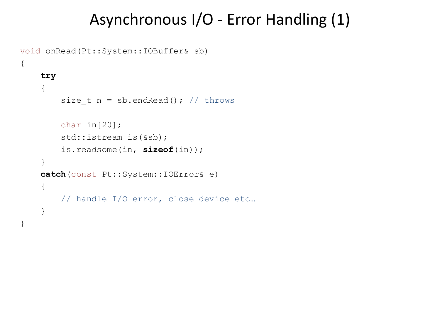#### Asynchronous I/O - Error Handling (1)

```
void onRead(Pt::System::IOBuffer& sb)
{
     try
     {
        size t n = sb.endRead(); // throws
         char in[20]; 
        std::istream is(&sb);
         is.readsome(in, sizeof(in));
     }
     catch(const Pt::System::IOError& e)
     {
         // handle I/O error, close device etc…
     }
}
```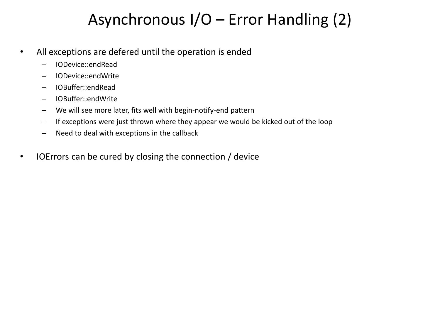## Asynchronous I/O – Error Handling (2)

- All exceptions are defered until the operation is ended
	- IODevice::endRead
	- IODevice::endWrite
	- IOBuffer::endRead
	- IOBuffer::endWrite
	- We will see more later, fits well with begin-notify-end pattern
	- If exceptions were just thrown where they appear we would be kicked out of the loop
	- Need to deal with exceptions in the callback
- IOErrors can be cured by closing the connection / device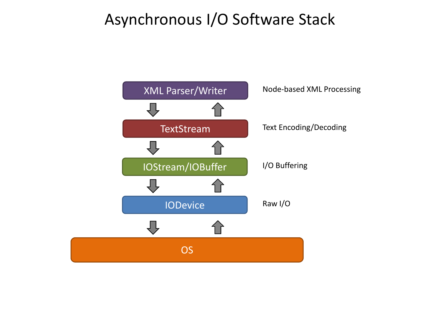## Asynchronous I/O Software Stack

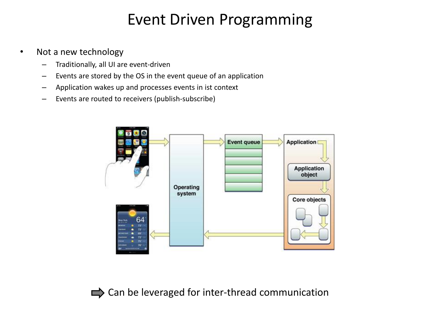## Event Driven Programming

- Not a new technology
	- Traditionally, all UI are event-driven
	- Events are stored by the OS in the event queue of an application
	- Application wakes up and processes events in ist context
	- Events are routed to receivers (publish-subscribe)



 $\Rightarrow$  Can be leveraged for inter-thread communication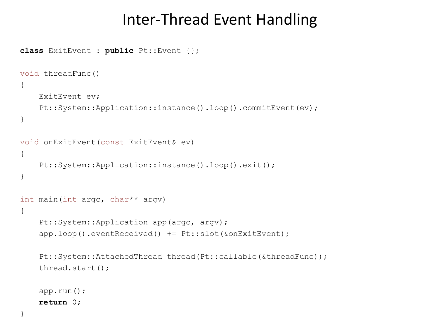#### Inter-Thread Event Handling

```
class ExitEvent : public Pt::Event {};
void threadFunc()
{
     ExitEvent ev;
     Pt::System::Application::instance().loop().commitEvent(ev);
}
void onExitEvent(const ExitEvent& ev)
{
     Pt::System::Application::instance().loop().exit();
}
int main(int argc, char** argv)
{
     Pt::System::Application app(argc, argv);
     app.loop().eventReceived() += Pt::slot(&onExitEvent);
     Pt::System::AttachedThread thread(Pt::callable(&threadFunc));
     thread.start();
     app.run();
     return 0;
```
}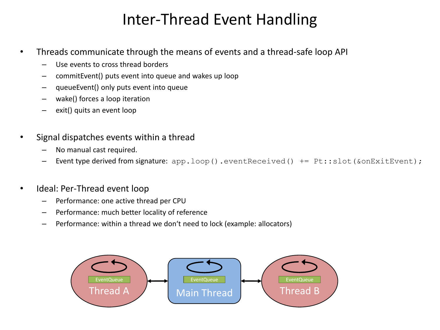## Inter-Thread Event Handling

- Threads communicate through the means of events and a thread-safe loop API
	- Use events to cross thread borders
	- commitEvent() puts event into queue and wakes up loop
	- queueEvent() only puts event into queue
	- wake() forces a loop iteration
	- exit() quits an event loop
- Signal dispatches events within a thread
	- No manual cast required.
	- Event type derived from signature: app.loop().eventReceived() += Pt::slot(&onExitEvent);
- Ideal: Per-Thread event loop
	- Performance: one active thread per CPU
	- Performance: much better locality of reference
	- Performance: within a thread we don't need to lock (example: allocators)

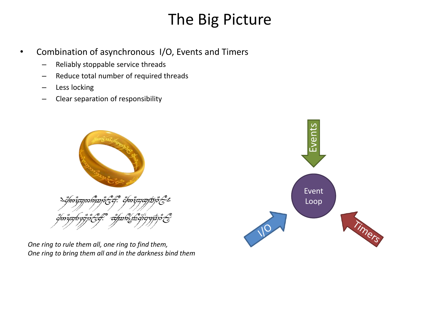## The Big Picture

- Combination of asynchronous I/O, Events and Timers
	- Reliably stoppable service threads
	- Reduce total number of required threads
	- Less locking
	- Clear separation of responsibility



*One ring to rule them all, one ring to find them, One ring to bring them all and in the darkness bind them*

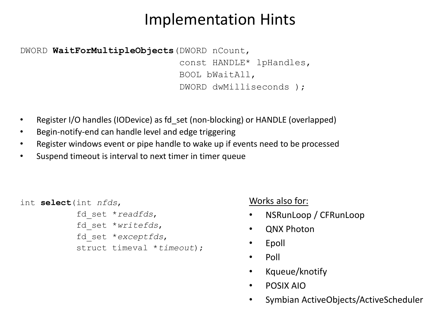## Implementation Hints

DWORD **WaitForMultipleObjects**(DWORD nCount, const HANDLE\* lpHandles, BOOL bWaitAll, DWORD dwMilliseconds );

- Register I/O handles (IODevice) as fd set (non-blocking) or HANDLE (overlapped)
- Begin-notify-end can handle level and edge triggering
- Register windows event or pipe handle to wake up if events need to be processed
- Suspend timeout is interval to next timer in timer queue

```
int select(int nfds, 
             fd_set *readfds, 
             fd_set *writefds, 
             fd_set *exceptfds, 
             struct timeval *timeout);
```
Works also for:

- NSRunLoop / CFRunLoop
- QNX Photon
- Epoll
- Poll
- Kqueue/knotify
- POSIX AIO
- Symbian ActiveObjects/ActiveScheduler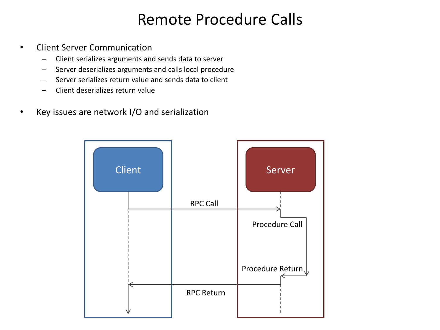## Remote Procedure Calls

- Client Server Communication
	- Client serializes arguments and sends data to server
	- Server deserializes arguments and calls local procedure
	- Server serializes return value and sends data to client
	- Client deserializes return value
- Key issues are network I/O and serialization

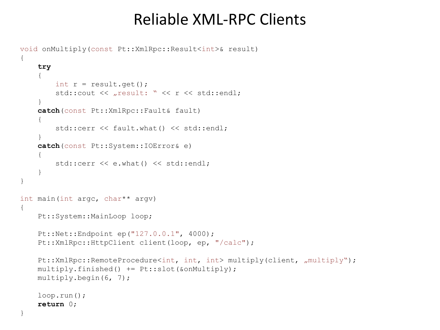#### Reliable XML-RPC Clients

```
void onMultiply(const Pt::XmlRpc::Result<int>& result)
{
     try
 {
        int r = result.get();
        std::cout << "result: " << r << std::endl;
 }
     catch(const Pt::XmlRpc::Fault& fault)
 {
        std::cerr << fault.what() << std::endl;
 }
     catch(const Pt::System::IOError& e)
 {
         std::cerr << e.what() << std::endl;
 }
}
int main(int argc, char** argv)
{
    Pt::System::MainLoop loop;
     Pt::Net::Endpoint ep("127.0.0.1", 4000);
     Pt::XmlRpc::HttpClient client(loop, ep, "/calc");
    Pt::XmlRpc::RemoteProcedure<int, int, int> multiply(client, "multiply");
     multiply.finished() += Pt::slot(&onMultiply);
     multiply.begin(6, 7);
     loop.run();
     return 0;
```
}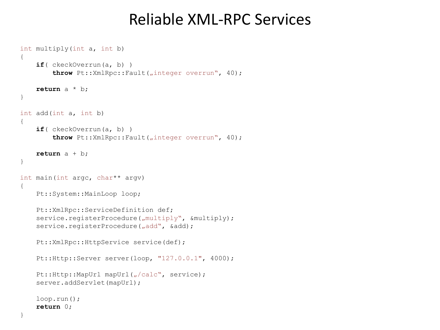#### Reliable XML-RPC Services

```
int multiply(int a, int b)
{
     if( ckeckOverrun(a, b) )
        throw Pt::XmlRpc::Fault("integer overrun", 40);
     return a * b;
}
int add(int a, int b)
{
     if( ckeckOverrun(a, b) )
        throw Pt::XmlRpc::Fault("integer overrun", 40);
     return a + b;
}
int main(int argc, char** argv)
{
    Pt::System::MainLoop loop;
     Pt::XmlRpc::ServiceDefinition def;
    service.registerProcedure("multiply", &multiply);
    service.registerProcedure("add", &add);
    Pt::XmlRpc::HttpService service(def);
     Pt::Http::Server server(loop, "127.0.0.1", 4000);
    Pt::Http::MapUrl mapUrl("/calc", service);
     server.addServlet(mapUrl);
     loop.run();
     return 0;
}
```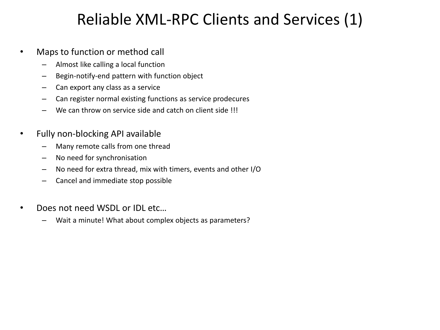## Reliable XML-RPC Clients and Services (1)

- Maps to function or method call
	- Almost like calling a local function
	- Begin-notify-end pattern with function object
	- Can export any class as a service
	- Can register normal existing functions as service prodecures
	- We can throw on service side and catch on client side !!!
- Fully non-blocking API available
	- Many remote calls from one thread
	- No need for synchronisation
	- No need for extra thread, mix with timers, events and other I/O
	- Cancel and immediate stop possible
- Does not need WSDL or IDL etc…
	- Wait a minute! What about complex objects as parameters?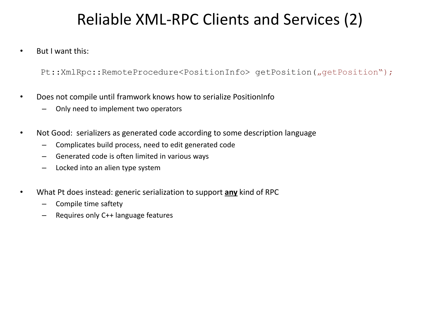## Reliable XML-RPC Clients and Services (2)

• But I want this:

Pt::XmlRpc::RemoteProcedure<PositionInfo> getPosition("getPosition");

- Does not compile until framwork knows how to serialize PositionInfo
	- Only need to implement two operators
- Not Good: serializers as generated code according to some description language
	- Complicates build process, need to edit generated code
	- Generated code is often limited in various ways
	- Locked into an alien type system
- What Pt does instead: generic serialization to support **any** kind of RPC
	- Compile time saftety
	- Requires only C++ language features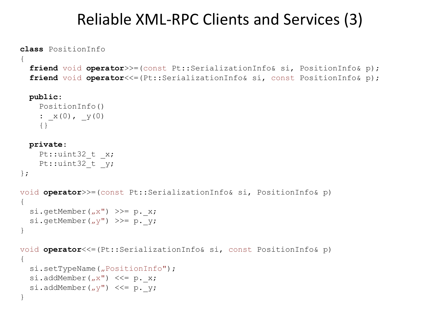#### Reliable XML-RPC Clients and Services (3)

```
class PositionInfo
{
   friend void operator>>=(const Pt::SerializationInfo& si, PositionInfo& p);
   friend void operator<<=(Pt::SerializationInfo& si, const PositionInfo& p);
   public:
```

```
 PositionInfo()
: x(0), y(0) {}
```
#### **private**:

};

```
Pt::uint32 t x;
Pt::uint32 t y;
```

```
void operator>>=(const Pt::SerializationInfo& si, PositionInfo& p)
{
  si.getMember(_{\nu}x") >>= p. x;
  si.getMember(y'') >>= p. y;
}
```

```
void operator<<=(Pt::SerializationInfo& si, const PositionInfo& p)
{
  si.setTypeName("PositionInfo");
  si.addMember(_{n}x") <<= p. x;
  si.addMember('y") <<= p. y;
}
```